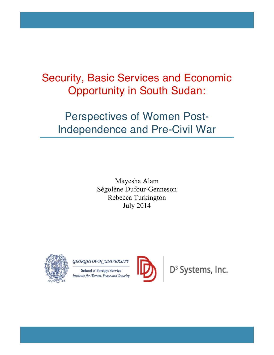# Security, Basic Services and Economic Opportunity in South Sudan:

# Perspectives of Women Post-Independence and Pre-Civil War

Mayesha Alam Ségolène Dufour-Genneson Rebecca Turkington July 2014



GEORGETOWN UNIVERSITY

School of Foreign Service Institute for Women, Peace and Security



D<sup>3</sup> Systems, Inc.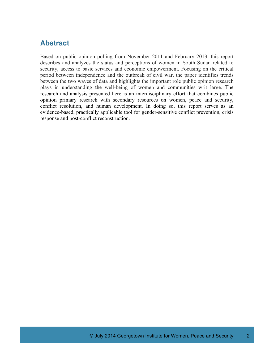# **Abstract**

Based on public opinion polling from November 2011 and February 2013, this report describes and analyzes the status and perceptions of women in South Sudan related to security, access to basic services and economic empowerment. Focusing on the critical period between independence and the outbreak of civil war, the paper identifies trends between the two waves of data and highlights the important role public opinion research plays in understanding the well-being of women and communities writ large. The research and analysis presented here is an interdisciplinary effort that combines public opinion primary research with secondary resources on women, peace and security, conflict resolution, and human development. In doing so, this report serves as an evidence-based, practically applicable tool for gender-sensitive conflict prevention, crisis response and post-conflict reconstruction.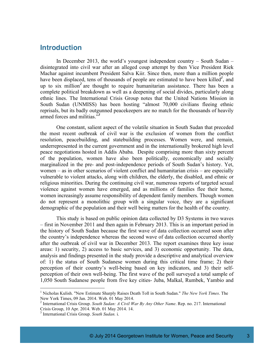#### **Introduction**

In December 2013, the world's youngest independent country – South Sudan – disintegrated into civil war after an alleged coup attempt by then Vice President Riek Machar against incumbent President Salva Kiir. Since then, more than a million people have been displaced, tens of thousands of people are estimated to have been killed<sup>*l*</sup>, and up to six million*<sup>2</sup>* are thought to require humanitarian assistance. There has been a complete political breakdown as well as a deepening of social divides, particularly along ethnic lines. The International Crisis Group notes that the United Nations Mission in South Sudan (UNMISS) has been hosting "almost 70,000 civilians fleeing ethnic reprisals, but its badly outgunned peacekeepers are no match for the thousands of heavily armed forces and militias."*<sup>3</sup>*

One constant, salient aspect of the volatile situation in South Sudan that preceded the most recent outbreak of civil war is the exclusion of women from the conflict resolution, peacebuilding, and statebuilding processes. Women were, and remain, underrepresented in the current government and in the internationally brokered high level peace negotiations hosted in Addis Ababa. Despite comprising more than sixty percent of the population, women have also been politically, economically and socially marginalized in the pre- and post-independence periods of South Sudan's history. Yet, women – as in other scenarios of violent conflict and humanitarian crisis – are especially vulnerable to violent attacks, along with children, the elderly, the disabled, and ethnic or religious minorities. During the continuing civil war, numerous reports of targeted sexual violence against women have emerged, and as millions of families flee their home, women increasingly assume responsibility of dependent family members. Though women do not represent a monolithic group with a singular voice, they are a significant demographic of the population and their well being matters for the health of the country.

This study is based on public opinion data collected by D3 Systems in two waves – first in November 2011 and then again in February 2013. This is an important period in the history of South Sudan because the first wave of data collection occurred soon after the country's independence whereas the second wave of data collection occurred shortly after the outbreak of civil war in December 2013. The report examines three key issue areas: 1) security, 2) access to basic services, and 3) economic opportunity. The data, analysis and findings presented in the study provide a descriptive and analytical overview of: 1) the status of South Sudanese women during this critical time frame; 2) their perception of their country's well-being based on key indicators, and 3) their selfperception of their own well-being. The first wave of the poll surveyed a total sample of 1,050 South Sudanese people from five key cities- Juba, Malkal, Rumbek, Yambio and

 <sup>1</sup> Nicholas Kulish. "New Estimate Sharply Raises Death Toll in South Sudan." *The New York Times*. The

<sup>&</sup>lt;sup>2</sup> International Crisis Group. *South Sudan: A Civil War By Any Other Name*. Rep. no. 217. International Crisis Group, 10 Apr. 2014. Web. 01 May 2014. 14.

<sup>&</sup>lt;sup>3</sup> International Crisis Group. South Sudan. i.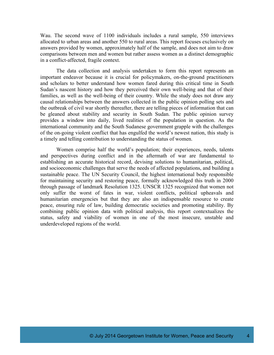Wau. The second wave of 1100 individuals includes a rural sample, 550 interviews allocated to urban areas and another 550 to rural areas. This report focuses exclusively on answers provided by women, approximately half of the sample, and does not aim to draw comparisons between men and women but rather assess women as a distinct demographic in a conflict-affected, fragile context.

The data collection and analysis undertaken to form this report represents an important endeavor because it is crucial for policymakers, on-the-ground practitioners and scholars to better understand how women fared during this critical time in South Sudan's nascent history and how they perceived their own well-being and that of their families, as well as the well-being of their country. While the study does not draw any causal relationships between the answers collected in the public opinion polling sets and the outbreak of civil war shortly thereafter, there are telling pieces of information that can be gleaned about stability and security in South Sudan. The public opinion survey provides a window into daily, lived realities of the population in question. As the international community and the South Sudanese government grapple with the challenges of the on-going violent conflict that has engulfed the world's newest nation, this study is a timely and telling contribution to understanding the status of women.

Women comprise half the world's population; their experiences, needs, talents and perspectives during conflict and in the aftermath of war are fundamental to establishing an accurate historical record, devising solutions to humanitarian, political, and socioeconomic challenges that serve the needs of affected populations, and building a sustainable peace. The UN Security Council, the highest international body responsible for maintaining security and restoring peace, formally acknowledged this truth in 2000 through passage of landmark Resolution 1325. UNSCR 1325 recognized that women not only suffer the worst of fates in war, violent conflicts, political upheavals and humanitarian emergencies but that they are also an indispensable resource to create peace, ensuring rule of law, building democratic societies and promoting stability. By combining public opinion data with political analysis, this report contextualizes the status, safety and viability of women in one of the most insecure, unstable and underdeveloped regions of the world.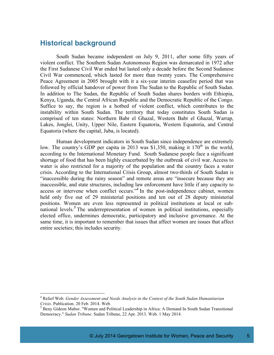## **Historical background**

South Sudan became independent on July 9, 2011, after some fifty years of violent conflict. The Southern Sudan Autonomous Region was demarcated in 1972 after the First Sudanese Civil War ended but lasted only a decade before the Second Sudanese Civil War commenced, which lasted for more than twenty years. The Comprehensive Peace Agreement in 2005 brought with it a six-year interim ceasefire period that was followed by official handover of power from The Sudan to the Republic of South Sudan. In addition to The Sudan, the Republic of South Sudan shares borders with Ethiopia, Kenya, Uganda, the Central African Republic and the Democratic Republic of the Congo. Suffice to say, the region is a hotbed of violent conflict, which contributes to the instability within South Sudan. The territory that today constitutes South Sudan is comprised of ten states: Northern Babr el Ghazal, Western Babr el Ghazal, Warrap, Lakes, Jonglei, Unity, Upper Nile, Eastern Equatoria, Western Equatoria, and Central Equatoria (where the capital, Juba, is located).

Human development indicators in South Sudan since independence are extremely low. The country's GDP per capita in 2013 was \$1,350, making it  $170<sup>th</sup>$  in the world, according to the International Monetary Fund. South Sudanese people face a significant shortage of food that has been highly exacerbated by the outbreak of civil war. Access to water is also restricted for a majority of the population and the country faces a water crisis. According to the International Crisis Group, almost two-thirds of South Sudan is "inaccessible during the rainy season" and remote areas are "insecure because they are inaccessible, and state structures, including law enforcement have little if any capacity to access or intervene when conflict occurs."<sup>4</sup> In the post-independence cabinet, women held only five out of 29 ministerial positions and ten out of 28 deputy ministerial positions. Women are even less represented in political institutions at local or subnational levels.*<sup>5</sup>* The underrepresentation of women in political institutions, especially elected office, undermines democratic, participatory and inclusive governance. At the same time, it is important to remember that issues that affect women are issues that affect entire societies; this includes security.

 <sup>4</sup> Relief Web. *Gender Assessment and Needs Analysis in the Context of the South Sudan Humanitarian*

<sup>&</sup>lt;sup>5</sup> Beny Gideon Mabor. "Women and Political Leadership in Africa: A Demand In South Sudan Transitional Democracy." *Sudan Tribune*. Sudan Tribune, 22 Apr. 2013. Web. 1 May 2014.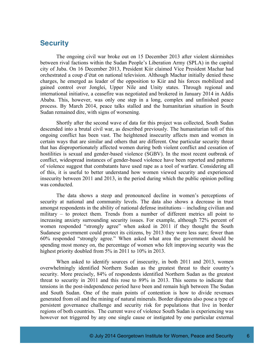## **Security**

The ongoing civil war broke out on 15 December 2013 after violent skirmishes between rival factions within the Sudan People's Liberation Army (SPLA) in the capital city of Juba. On 16 December 2013, President Kiir claimed Vice President Machar had orchestrated a coup d'état on national television. Although Machar initially denied these charges, he emerged as leader of the opposition to Kiir and his forces mobilized and gained control over Jonglei, Upper Nile and Unity states. Through regional and international initiative, a ceasefire was negotiated and brokered in January 2014 in Addis Ababa. This, however, was only one step in a long, complex and unfinished peace process. By March 2014, peace talks stalled and the humanitarian situation in South Sudan remained dire, with signs of worsening.

Shortly after the second wave of data for this project was collected, South Sudan descended into a brutal civil war, as described previously. The humanitarian toll of this ongoing conflict has been vast. The heightened insecurity affects men and women in certain ways that are similar and others that are different. One particular security threat that has disproportionately affected women during both violent conflict and cessation of hostilities is sexual and gender-based violence (SGBV). In the most recent outbreak of conflict, widespread instances of gender-based violence have been reported and patterns of violence suggest that combatants have used rape as a tool of warfare. Considering all of this, it is useful to better understand how women viewed security and experienced insecurity between 2011 and 2013, in the period during which the public opinion polling was conducted.

The data shows a steep and pronounced decline in women's perceptions of security at national and community levels. The data also shows a decrease in trust amongst respondents in the ability of national defense institutions – including civilian and military – to protect them. Trends from a number of different metrics all point to increasing anxiety surrounding security issues. For example, although 72% percent of women responded "strongly agree" when asked in 2011 if they thought the South Sudanese government could protect its citizens, by 2013 they were less sure; fewer than 60% responded "strongly agree." When asked what area the government should be spending most money on, the percentage of women who felt improving security was the highest priority doubled from 5% in 2011 to 10% in 2013.

When asked to identify sources of insecurity, in both 2011 and 2013, women overwhelmingly identified Northern Sudan as the greatest threat to their country's security. More precisely, 84% of respondents identified Northern Sudan as the greatest threat to security in 2011 and this rose to 89% in 2013. This seems to indicate that tensions in the post-independence period have been and remain high between The Sudan and South Sudan. One of the main points of contention is how to divide revenues generated from oil and the mining of natural minerals. Border disputes also pose a type of persistent governance challenge and security risk for populations that live in border regions of both countries. The current wave of violence South Sudan is experiencing was however not triggered by any one single cause or instigated by one particular external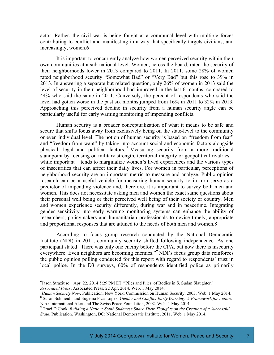actor. Rather, the civil war is being fought at a communal level with multiple forces contributing to conflict and manifesting in a way that specifically targets civilians, and increasingly, women.6

It is important to concurrently analyze how women perceived security within their own communities at a sub-national level. Women, across the board, rated the security of their neighborhoods lower in 2013 compared to 2011. In 2011, some 28% of women rated neighborhood security "Somewhat Bad" or "Very Bad" but this rose to 39% in 2013. In answering a separate but related question, only 26% of women in 2013 said the level of security in their neighborhood had improved in the last 6 months, compared to 44% who said the same in 2011. Conversely, the percent of respondents who said the level had gotten worse in the past six months jumped from 16% in 2011 to 32% in 2013. Approaching this perceived decline in security from a human security angle can be particularly useful for early warning monitoring of impending conflicts.

Human security is a broader conceptualization of what it means to be safe and secure that shifts focus away from exclusively being on the state-level to the community or even individual level. The notion of human security is based on "freedom from fear" and "freedom from want" by taking into account social and economic factors alongside physical, legal and political factors. *<sup>7</sup>* Measuring security from a more traditional standpoint by focusing on military strength, territorial integrity or geopolitical rivalries – while important – tends to marginalize women's lived experiences and the various types of insecurities that can affect their daily lives. For women in particular, perceptions of neighborhood security are an important metric to measure and analyze. Public opinion research can be a useful vehicle for measuring human security to in turn serve as a predictor of impending violence and, therefore, it is important to survey both men and women. This does not necessitate asking men and women the exact same questions about their personal well being or their perceived well being of their society or country. Men and women experience security differently, during war and in peacetime. Integrating gender sensitivity into early warning monitoring systems can enhance the ability of researchers, policymakers and humanitarian professionals to devise timely, appropriate and proportional responses that are attuned to the needs of both men and women.8

According to focus group research conducted by the National Democratic Institute (NDI) in 2011, community security shifted following independence. As one participant stated "There was only one enemy before the CPA, but now there is insecurity everywhere. Even neighbors are becoming enemies."*<sup>9</sup>* NDI's focus group data reinforces the public opinion polling conducted for this report with regard to respondents' trust in local police. In the D3 surveys, 60% of respondents identified police as primarily

 $\frac{1}{6}$  $<sup>6</sup>$ Jason Straziuso. "Apr. 22, 2014 5:29 PM ET "Piles and Piles' of Bodies in S. Sudan Slaughter."</sup>

*Associated Press.* Associated Press, 22 Apr. 2014. Web. 1 May 2014.<br><sup>7</sup> Human Security Now. Publication. New York: Commission on Human Security, 2003. Web. 1 May 2014.  $8$  Susan Schmeidl, and Eugenia Piza-Lopez. *Gender and Conflict Early Warning: A Framework for Action*.<br>N.p.: International Alert and The Swiss Peace Foundation, 2002. Web. 1 May 2014.

 $9$  Traci D Cook. Building a Nation: South Sudanese Share Their Thoughts on the Creation of a Successful *State*. Publication. Washington, DC: National Democratic Institute, 2011. Web. 1 May 2014.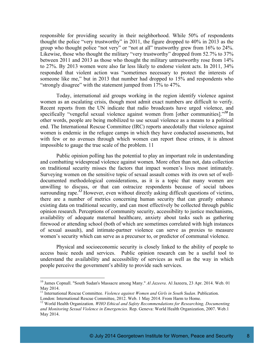responsible for providing security in their neighborhood. While 50% of respondents thought the police "very trustworthy" in 2011, the figure dropped to 40% in 2013 as the group who thought police "not very" or "not at all" trustworthy grew from 16% to 24%. Likewise, those who thought the military "very trustworthy" dropped from 52.7% to 37% between 2011 and 2013 as those who thought the military untrustworthy rose from 14% to 27%. By 2013 women were also far less likely to endorse violent acts. In 2011, 34% responded that violent action was "sometimes necessary to protect the interests of someone like me," but in 2013 that number had dropped to 15% and respondents who "strongly disagree" with the statement jumped from 17% to 47%.

Today, international aid groups working in the region identify violence against women as an escalating crisis, though most admit exact numbers are difficult to verify. Recent reports from the UN indicate that radio broadcasts have urged violence, and specifically "vengeful sexual violence against women from [other communities]."*<sup>10</sup>* In other words, people are being mobilized to use sexual violence as a means to a political end. The International Rescue Committee (IRC) reports anecdotally that violence against women is endemic in the refugee camps in which they have conducted assessments, but with few or no avenues through which women can report these crimes, it is almost impossible to gauge the true scale of the problem. 11

Public opinion polling has the potential to play an important role in understanding and combatting widespread violence against women. More often than not, data collection on traditional security misses the factors that impact women's lives most intimately. Surveying women on the sensitive topic of sexual assault comes with its own set of welldocumented methodological considerations, as it is a topic that many women are unwilling to discuss, or that can ostracize respondents because of social taboos surrounding rape.<sup>12</sup> However, even without directly asking difficult questions of victims, there are a number of metrics concerning human security that can greatly enhance existing data on traditional security, and can most effectively be collected through public opinion research. Perceptions of community security, accessibility to justice mechanisms, availability of adequate maternal healthcare, anxiety about tasks such as gathering firewood or attending school (both of which are sometimes correlated with high instances of sexual assault), and intimate-partner violence can serve as proxies to measure women's security which can serve as a precursor to, or predictor of communal violence.

Physical and socioeconomic security is closely linked to the ability of people to access basic needs and services. Public opinion research can be a useful tool to understand the availability and accessibility of services as well as the way in which people perceive the government's ability to provide such services.

 <sup>10</sup> James Copnall. "South Sudan's Massacre among Many." *Al Jazeera*. Al Jazeera, <sup>23</sup> Apr. 2014. Web. <sup>01</sup>

May 2014. <sup>11</sup> International Rescue Committee. *Violence against Women and Girls in South Sudan*. Publication.

 $^{12}$  World Health Organization. *WHO Ethical and Safety Recommendations for Researching, Documenting and Monitoring Sexual Violence in Emergencies*. Rep. Geneva: World Health Organization, 2007. Web.1 May 2014.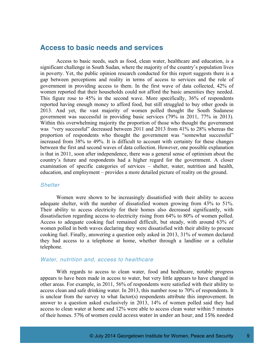#### **Access to basic needs and services**

Access to basic needs, such as food, clean water, healthcare and education, is a significant challenge in South Sudan, where the majority of the country's population lives in poverty. Yet, the public opinion research conducted for this report suggests there is a gap between perceptions and reality in terms of access to services and the role of government in providing access to them. In the first wave of data collected, 42% of women reported that their households could not afford the basic amenities they needed. This figure rose to 45% in the second wave. More specifically, 36% of respondents reported having enough money to afford food, but still struggled to buy other goods in 2013. And yet, the vast majority of women polled thought the South Sudanese government was successful in providing basic services (79% in 2011, 77% in 2013). Within this overwhelming majority the proportion of those who thought the government was "very successful" decreased between 2011 and 2013 from 41% to 28% whereas the proportion of respondents who thought the government was "somewhat successful" increased from 38% to 49%. It is difficult to account with certainty for these changes between the first and second waves of data collection. However, one possible explanation is that in 2011, soon after independence, there was a general sense of optimism about the country's future and respondents had a higher regard for the government. A closer examination of specific categories of services – shelter, water, nutrition and health, education, and employment – provides a more detailed picture of reality on the ground.

#### *Shelter*

Women were shown to be increasingly dissatisfied with their ability to access adequate shelter, with the number of dissatisfied women growing from 43% to 51%. Their ability to access electricity for their homes also decreased significantly, with dissatisfaction regarding access to electricity rising from 64% to 80% of women polled. Access to adequate cooking fuel remained difficult, but steady, with around 63% of women polled in both waves declaring they were dissatisfied with their ability to procure cooking fuel. Finally, answering a question only asked in 2013, 31% of women declared they had access to a telephone at home, whether through a landline or a cellular telephone.

#### *Water, nutrition and, access to healthcare*

With regards to access to clean water, food and healthcare, notable progress appears to have been made in access to water, but very little appears to have changed in other areas. For example, in 2011, 56% of respondents were satisfied with their ability to access clean and safe drinking water. In 2013, this number rose to 70% of respondents. It is unclear from the survey to what factor(s) respondents attribute this improvement. In answer to a question asked exclusively in 2013, 14% of women polled said they had access to clean water at home and 12% were able to access clean water within 5 minutes of their homes. 57% of women could access water in under an hour, and 15% needed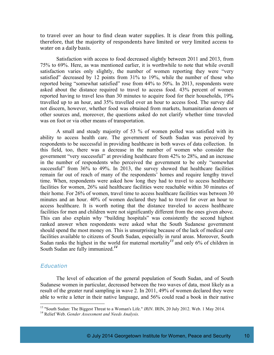to travel over an hour to find clean water supplies. It is clear from this polling, therefore, that the majority of respondents have limited or very limited access to water on a daily basis.

Satisfaction with access to food decreased slightly between 2011 and 2013, from 75% to 69%. Here, as was mentioned earlier, it is worthwhile to note that while overall satisfaction varies only slightly, the number of women reporting they were "very satisfied" decreased by 12 points from 31% to 19%, while the number of those who reported being "somewhat satisfied" rose from 44% to 50%. In 2013, respondents were asked about the distance required to travel to access food. 43% percent of women reported having to travel less than 30 minutes to acquire food for their households, 19% travelled up to an hour, and 35% travelled over an hour to access food. The survey did not discern, however, whether food was obtained from markets, humanitarian donors or other sources and, moreover, the questions asked do not clarify whether time traveled was on foot or via other means of transportation.

A small and steady majority of 53 % of women polled was satisfied with its ability to access health care. The government of South Sudan was perceived by respondents to be successful in providing healthcare in both waves of data collection. In this field, too, there was a decrease in the number of women who consider the government "very successful" at providing healthcare from 42% to 28%, and an increase in the number of respondents who perceived the government to be only "somewhat successful" from 36% to 49%. In 2013, the survey showed that healthcare facilities remain far out of reach of many of the respondents' homes and require lengthy travel time. When, respondents were asked how long they had to travel to access healthcare facilities for women, 26% said healthcare facilities were reachable within 30 minutes of their home. For 26% of women, travel time to access healthcare facilities was between 30 minutes and an hour. 40% of women declared they had to travel for over an hour to access healthcare. It is worth noting that the distance traveled to access healthcare facilities for men and children were not significantly different from the ones given above. This can also explain why "building hospitals" was consistently the second highest ranked answer when respondents were asked what the South Sudanese government should spend the most money on. This is unsurprising because of the lack of medical care facilities available to citizens of South Sudan, especially in rural areas. Moreover, South Sudan ranks the highest in the world for maternal mortality*<sup>13</sup>* and only 6% of children in South Sudan are fully immunized.*<sup>14</sup>*

#### *Education*

The level of education of the general population of South Sudan, and of South Sudanese women in particular, decreased between the two waves of data, most likely as a result of the greater rural sampling in wave 2. In 2011, 49% of women declared they were able to write a letter in their native language, and 56% could read a book in their native

<sup>13</sup> "South Sudan: The Biggest Threat to <sup>a</sup> Woman's Life." *IRIN*. IRIN, <sup>20</sup> July 2012. Web. <sup>1</sup> May 2014. <sup>14</sup> Relief Web. *Gender Assessment and Needs Analysis.*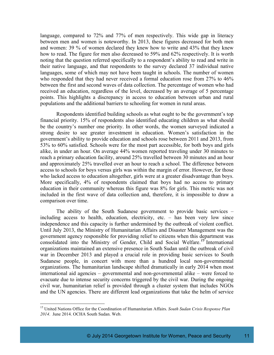language, compared to 72% and 77% of men respectively. This wide gap in literacy between men and women is noteworthy. In 2013, these figures decreased for both men and women: 39 % of women declared they knew how to write and 43% that they knew how to read. The figure for men also decreased to 59% and 62% respectively. It is worth noting that the question referred specifically to a respondent's ability to read and write in their native language, and that respondents to the survey declared 37 individual native languages, some of which may not have been taught in schools. The number of women who responded that they had never received a formal education rose from 27% to 46% between the first and second waves of data collection. The percentage of women who had received an education, regardless of the level, decreased by an average of 5 percentage points. This highlights a discrepancy in access to education between urban and rural populations and the additional barriers to schooling for women in rural areas.

Respondents identified building schools as what ought to be the government's top financial priority. 15% of respondents also identified educating children as what should be the country's number one priority. In other words, the women surveyed indicated a strong desire to see greater investment in education. Women's satisfaction in the government's ability to provide education and schools rose between 2011 and 2013, from 53% to 60% satisfied. Schools were for the most part accessible, for both boys and girls alike, in under an hour. On average 44% women reported traveling under 30 minutes to reach a primary education facility, around 25% travelled between 30 minutes and an hour and approximately 25% travelled over an hour to reach a school. The difference between access to schools for boys versus girls was within the margin of error. However, for those who lacked access to education altogether, girls were at a greater disadvantage than boys. More specifically, 4% of respondents claimed that boys had no access to primary education in their community whereas this figure was 8% for girls. This metric was not included in the first wave of data collection and, therefore, it is impossible to draw a comparison over time.

The ability of the South Sudanese government to provide basic services – including access to health, education, electricity, etc. – has been very low since independence and this capacity is further undermined by the outbreak of violent conflict. Until July 2013, the Ministry of Humanitarian Affairs and Disaster Management was the government agency responsible for providing relief to citizens when this department was consolidated into the Ministry of Gender, Child and Social Welfare.*<sup>15</sup>* International organizations maintained an extensive presence in South Sudan until the outbreak of civil war in December 2013 and played a crucial role in providing basic services to South Sudanese people, in concert with more than a hundred local non-governmental organizations. The humanitarian landscape shifted dramatically in early 2014 when most international aid agencies – governmental and non-governmental alike – were forced to evacuate due to intense security concerns triggered by the civil war. During the ongoing civil war, humanitarian relief is provided through a cluster system that includes NGOs and the UN agencies. There are different lead organizations that take the helm of service

 <sup>15</sup> United Nations Office for the Coordination of Humanitarian Affairs. *South Sudan Crisis Response Plan 2014*. June 2014. OCHA South Sudan. Web.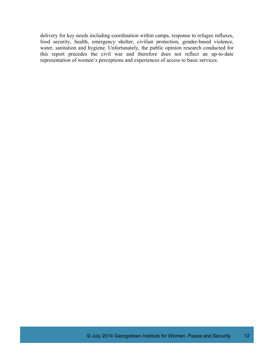delivery for key needs including coordination within camps, response to refugee influxes, food security, health, emergency shelter, civilian protection, gender-based violence, water, sanitation and hygiene. Unfortunately, the public opinion research conducted for this report precedes the civil war and therefore does not reflect an up-to-date representation of women's perceptions and experiences of access to basic services.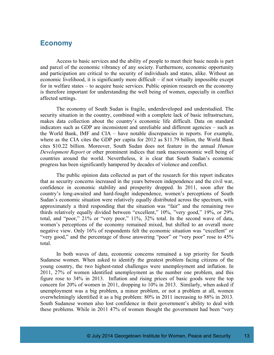#### **Economy**

Access to basic services and the ability of people to meet their basic needs is part and parcel of the economic vibrancy of any society. Furthermore, economic opportunity and participation are critical to the security of individuals and states, alike. Without an economic livelihood, it is significantly more difficult – if not virtually impossible except for in welfare states – to acquire basic services. Public opinion research on the economy is therefore important for understanding the well being of women, especially in conflict affected settings.

The economy of South Sudan is fragile, underdeveloped and understudied. The security situation in the country, combined with a complete lack of basic infrastructure, makes data collection about the country's economic life difficult. Data on standard indicators such as GDP are inconsistent and unreliable and different agencies – such as the World Bank, IMF and CIA – have notable discrepancies in reports. For example, where as the CIA cites the GDP per capita for 2012 as \$11.79 billion, the World Bank cites \$10.22 billion. Moreover, South Sudan does not feature in the annual *Human Development Report* or other prominent indices that rank macroeconomic well being of countries around the world. Nevertheless, it is clear that South Sudan's economic progress has been significantly hampered by decades of violence and conflict.

The public opinion data collected as part of the research for this report indicates that as security concerns increased in the years between independence and the civil war, confidence in economic stability and prosperity dropped. In 2011, soon after the country's long-awaited and hard-fought independence, women's perceptions of South Sudan's economic situation were relatively equally distributed across the spectrum, with approximately a third responding that the situation was "fair" and the remaining two thirds relatively equally divided between "excellent," 10%, "very good," 19%, or 29% total, and "poor," 21% or "very poor," 11%, 32% total. In the second wave of data, women's perceptions of the economy remained mixed, but shifted to an overall more negative view. Only 16% of respondents felt the economic situation was "excellent" or "very good," and the percentage of those answering "poor" or "very poor" rose to 45% total.

In both waves of data, economic concerns remained a top priority for South Sudanese women. When asked to identify the greatest problem facing citizens of the young country, the two highest-rated challenges were unemployment and inflation. In 2011, 27% of women identified unemployment as the number one problem, and this figure rose to 34% in 2013. Inflation and rising prices of basic goods were the top concern for 20% of women in 2011, dropping to 10% in 2013. Similarly, when asked if unemployment was a big problem, a minor problem, or not a problem at all, women overwhelmingly identified it as a big problem: 80% in 2011 increasing to 88% in 2013. South Sudanese women also lost confidence in their government's ability to deal with these problems. While in 2011 47% of women thought the government had been "very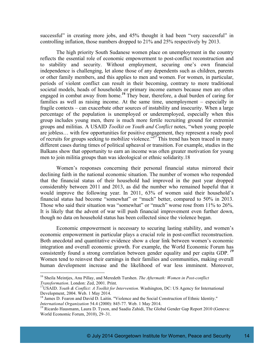successful" in creating more jobs, and 45% thought it had been "very successful" in controlling inflation, those numbers dropped to 21% and 25% respectively by 2013.

The high priority South Sudanese women place on unemployment in the country reflects the essential role of economic empowerment to post-conflict reconstruction and to stability and security. Without employment, securing one's own financial independence is challenging, let alone those of any dependents such as children, parents or other family members, and this applies to men and women. For women, in particular, periods of violent conflict can result in their becoming, contrary to more traditional societal models, heads of households or primary income earners because men are often engaged in combat away from home.*<sup>16</sup>* They bear, therefore, a dual burden of caring for families as well as raising income. At the same time, unemployment – especially in fragile contexts – can exacerbate other sources of instability and insecurity. When a large percentage of the population is unemployed or underemployed, especially when this group includes young men, there is much more fertile recruiting ground for extremist groups and militias. A USAID *Toolkit on Youth and Conflict* notes, "when young people are jobless… with few opportunities for positive engagement, they represent a ready pool of recruits for groups seeking to mobilize violence."*<sup>17</sup>* This trend has been traced in many different cases during times of political upheaval or transition. For example, studies in the Balkans show that opportunity to earn an income was often greater motivation for young men to join militia groups than was ideological or ethnic solidarity.18

Women's responses concerning their personal financial status mirrored their declining faith in the national economic situation. The number of women who responded that the financial status of their household had improved in the past year dropped considerably between 2011 and 2013, as did the number who remained hopeful that it would improve the following year. In 2011, 63% of women said their household's financial status had become "somewhat" or "much" better, compared to 50% in 2013. Those who said their situation was "somewhat" or "much" worse rose from 11% to 26%. It is likely that the advent of war will push financial improvement even further down, though no data on household status has been collected since the violence began.

Economic empowerment is necessary to securing lasting stability, and women's economic empowerment in particular plays a crucial role in post-conflict reconstruction. Both anecdotal and quantitative evidence show a clear link between women's economic integration and overall economic growth. For example, the World Economic Forum has consistently found a strong correlation between gender equality and per capita GDP. *<sup>19</sup>* Women tend to reinvest their earnings in their families and communities, making overall human development increase and the likelihood of war less imminent. Moreover,

 <sup>16</sup> Sheila Meintjes, Anu Pillay, and Meredeth Turshen. *The Aftermath: Women in Post-conflict*

*Transformation*. London: Zed, 2001. Print.<br><sup>17</sup>USAID. *Youth & Conflict: A Toolkit for Intervention*. Washington, DC: US Agency for International Development, 2004. Web. 1 May 2014.

<sup>&</sup>lt;sup>18</sup> James D. Fearon and David D. Laitin. "Violence and the Social Construction of Ethnic Identity."<br>*International Organization* 54.4 (2000): 845-77. Web. 1 May 2014.

<sup>&</sup>lt;sup>19</sup> Ricardo Hausmann, Laura D. Tyson, and Saadia Zahidi, The Global Gender Gap Report 2010 (Geneva: World Economic Forum, 2010), 29–31.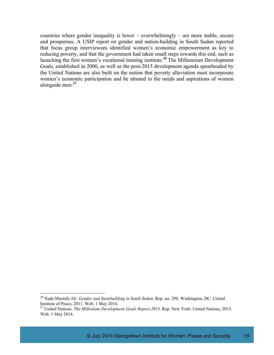countries where gender inequality is lower – overwhelmingly – are more stable, secure and prosperous. A USIP report on gender and nation-building in South Sudan reported that focus group interviewees identified women's economic empowerment as key to reducing poverty, and that the government had taken small steps towards this end, such as launching the first women's vocational training institute.*<sup>20</sup>* The Millennium Development Goals, established in 2000, as well as the post-2015 development agenda spearheaded by the United Nations are also built on the notion that poverty alleviation must incorporate women's economic participation and be attuned to the needs and aspirations of women alongside men.*<sup>21</sup>*

<sup>&</sup>lt;sup>20</sup> Nada Mustafa Ali *Gender and Statebuilding in South Sudan*. Rep. no. 298. Washington, DC: United Institute of Peace, 2011. Web. 1 May 2014.

<sup>&</sup>lt;sup>21</sup> United Nations. *The Millenium Development Goals Report 2013*. Rep. New York: United Nations, 2013. Web. 1 May 2014.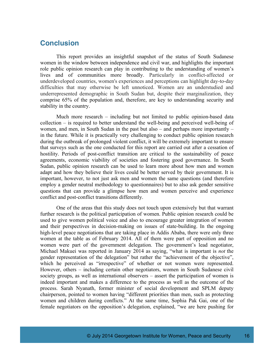## **Conclusion**

This report provides an insightful snapshot of the status of South Sudanese women in the window between independence and civil war, and highlights the important role public opinion research can play in contributing to the understanding of women's lives and of communities more broadly. Particularly in conflict-affected or underdeveloped countries, women's experiences and perceptions can highlight day-to-day difficulties that may otherwise be left unnoticed. Women are an understudied and underrepresented demographic in South Sudan but, despite their marginalization, they comprise 65% of the population and, therefore, are key to understanding security and stability in the country.

Much more research – including but not limited to public opinion-based data collection – is required to better understand the well-being and perceived well-being of women, and men, in South Sudan in the past but also – and perhaps more importantly – in the future. While it is practically very challenging to conduct public opinion research during the outbreak of prolonged violent conflict, it will be extremely important to ensure that surveys such as the one conducted for this report are carried out after a cessation of hostility. Periods of post-conflict transition are critical to the sustainability of peace agreements, economic viability of societies and fostering good governance. In South Sudan, public opinion research can be used to learn more about how men and women adapt and how they believe their lives could be better served by their government. It is important, however, to not just ask men and women the same questions (and therefore employ a gender neutral methodology to questionnaires) but to also ask gender sensitive questions that can provide a glimpse how men and women perceive and experience conflict and post-conflict transitions differently.

One of the areas that this study does not touch upon extensively but that warrant further research is the political participation of women. Public opinion research could be used to give women political voice and also to encourage greater integration of women and their perspectives in decision-making on issues of state-building. In the ongoing high-level peace negotiations that are taking place in Addis Ababa, there were only three women at the table as of February 2014. All of them were part of opposition and no women were part of the government delegation. The government's lead negotiator, Michael Makuei was reported in January 2014 as saying, "what is important is *not* the gender representation of the delegation" but rather the "achievement of the objective", which he perceived as "irrespective" of whether or not women were represented. However, others – including certain other negotiators, women in South Sudanese civil society groups, as well as international observers – assert the participation of women is indeed important and makes a difference to the process as well as the outcome of the process. Sarah Nyanath, former minister of social development and SPLM deputy chairperson, pointed to women having "different priorities than men, such as protecting women and children during conflicts." At the same time, Sophia Pak Gai, one of the female negotiators on the opposition's delegation, explained, "we are here pushing for